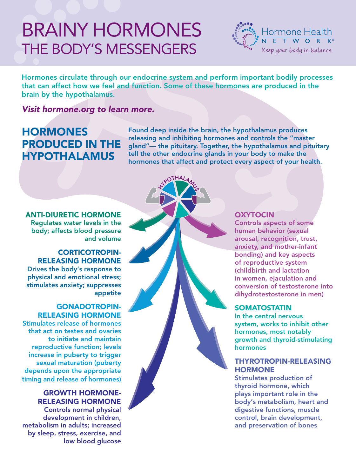# BRAINY Hormones The Body's Messengers



Hormones circulate through our endocrine system and perform important bodily processes that can affect how we feel and function. Some of these hormones are produced in the brain by the hypothalamus.

HALAMUS

Visit hormone.org to learn more.

## **HORMONES** produced in the hypothalamus

Found deep inside the brain, the hypothalamus produces releasing and inhibiting hormones and controls the "master gland"— the pituitary. Together, the hypothalamus and pituitary tell the other endocrine glands in your body to make the hormones that affect and protect every aspect of your health.

Anti-Diuretic Hormone Regulates water levels in the body; affects blood pressure and volume

#### Corticotropin-Releasing Hormone

Drives the body's response to physical and emotional stress; stimulates anxiety; suppresses appetite

### Gonadotropin-Releasing Hormone

Stimulates release of hormones that act on testes and ovaries to initiate and maintain reproductive function; levels increase in puberty to trigger sexual maturation (puberty depends upon the appropriate timing and release of hormones)

#### Growth Hormone-Releasing Hormone

Controls normal physical development in children, metabolism in adults; increased by sleep, stress, exercise, and low blood glucose

#### **OXYTOCIN**

Controls aspects of some human behavior (sexual arousal, recognition, trust, anxiety, and mother-infant bonding) and key aspects of reproductive system (childbirth and lactation in women, ejaculation and conversion of testosterone into dihydrotestosterone in men)

#### **SOMATOSTATIN**

In the central nervous system, works to inhibit other hormones, most notably growth and thyroid-stimulating hormones

#### Thyrotropin-Releasing **HORMONE**

Stimulates production of thyroid hormone, which plays important role in the body's metabolism, heart and digestive functions, muscle control, brain development, and preservation of bones